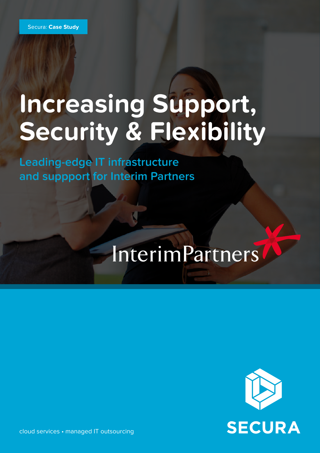# **Increasing Support, Security & Flexibility**

**Leading-edge IT infrastructure and suppport for Interim Partners**

# InterimPartners



cloud services • managed IT outsourcing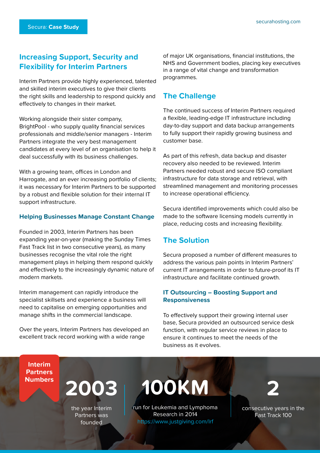# **Increasing Support, Security and Flexibility for Interim Partners**

Interim Partners provide highly experienced, talented and skilled interim executives to give their clients the right skills and leadership to respond quickly and effectively to changes in their market.

Working alongside their sister company, BrightPool - who supply quality financial services professionals and middle/senior managers - Interim Partners integrate the very best management candidates at every level of an organisation to help it deal successfully with its business challenges.

With a growing team, offices in London and Harrogate, and an ever increasing portfolio of clients; it was necessary for Interim Partners to be supported by a robust and flexible solution for their internal IT support infrastructure.

#### **Helping Businesses Manage Constant Change**

Founded in 2003, Interim Partners has been expanding year-on-year (making the Sunday Times Fast Track list in two consecutive years), as many businesses recognise the vital role the right management plays in helping them respond quickly and effectively to the increasingly dynamic nature of modern markets.

Interim management can rapidly introduce the specialist skillsets and experience a business will need to capitalise on emerging opportunities and manage shifts in the commercial landscape.

Over the years, Interim Partners has developed an excellent track record working with a wide range

of major UK organisations, financial institutions, the NHS and Government bodies, placing key executives in a range of vital change and transformation programmes.

# **The Challenge**

The continued success of Interim Partners required a flexible, leading-edge IT infrastructure including day-to-day support and data backup arrangements to fully support their rapidly growing business and customer base.

As part of this refresh, data backup and disaster recovery also needed to be reviewed. Interim Partners needed robust and secure ISO compliant infrastructure for data storage and retrieval, with streamlined management and monitoring processes to increase operational efficiency.

Secura identified improvements which could also be made to the software licensing models currently in place, reducing costs and increasing flexibility.

# **The Solution**

Secura proposed a number of different measures to address the various pain points in Interim Partners' current IT arrangements in order to future-proof its IT infrastructure and facilitate continued growth.

#### **IT Outsourcing – Boosting Support and Responsiveness**

To effectively support their growing internal user base, Secura provided an outsourced service desk function, with regular service reviews in place to ensure it continues to meet the needs of the business as it evolves.

**Interim Partners**



the year Interim Partners was founded

**100KM** 2

run for Leukemia and Lymphoma Research in 2014 <https://www.justgiving.com/lrf>

consecutive years in the Fast Track 100